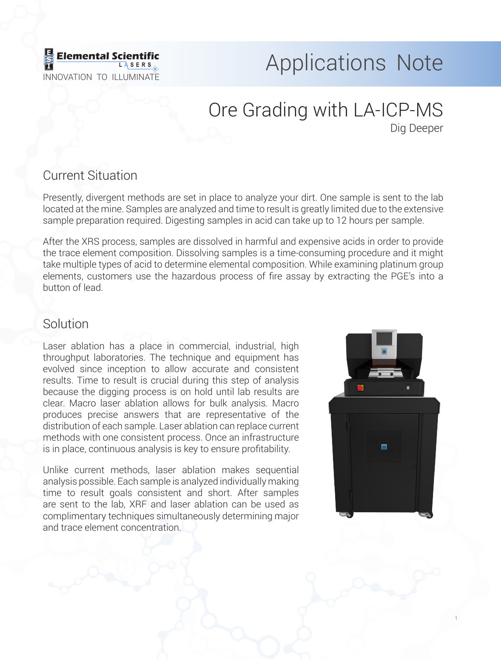

# Elemental Scientific **Applications** Note

# Ore Grading with LA-ICP-MS Dig Deeper

## Current Situation

Presently, divergent methods are set in place to analyze your dirt. One sample is sent to the lab located at the mine. Samples are analyzed and time to result is greatly limited due to the extensive sample preparation required. Digesting samples in acid can take up to 12 hours per sample.

After the XRS process, samples are dissolved in harmful and expensive acids in order to provide the trace element composition. Dissolving samples is a time-consuming procedure and it might take multiple types of acid to determine elemental composition. While examining platinum group elements, customers use the hazardous process of fire assay by extracting the PGE's into a button of lead.

# Solution

Laser ablation has a place in commercial, industrial, high throughput laboratories. The technique and equipment has evolved since inception to allow accurate and consistent results. Time to result is crucial during this step of analysis because the digging process is on hold until lab results are clear. Macro laser ablation allows for bulk analysis. Macro produces precise answers that are representative of the distribution of each sample. Laser ablation can replace current methods with one consistent process. Once an infrastructure is in place, continuous analysis is key to ensure profitability.

Unlike current methods, laser ablation makes sequential analysis possible. Each sample is analyzed individually making time to result goals consistent and short. After samples are sent to the lab, XRF and laser ablation can be used as complimentary techniques simultaneously determining major and trace element concentration.



1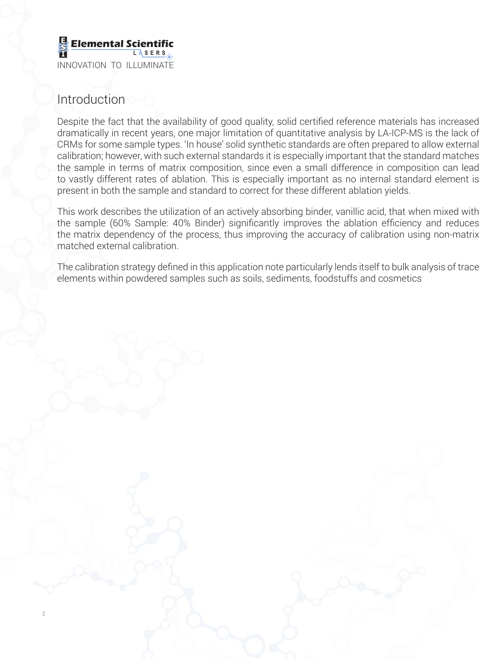

#### Introduction

2

Despite the fact that the availability of good quality, solid certified reference materials has increased dramatically in recent years, one major limitation of quantitative analysis by LA-ICP-MS is the lack of CRMs for some sample types. 'In house' solid synthetic standards are often prepared to allow external calibration; however, with such external standards it is especially important that the standard matches the sample in terms of matrix composition, since even a small difference in composition can lead to vastly different rates of ablation. This is especially important as no internal standard element is present in both the sample and standard to correct for these different ablation yields.

This work describes the utilization of an actively absorbing binder, vanillic acid, that when mixed with the sample (60% Sample: 40% Binder) significantly improves the ablation efficiency and reduces the matrix dependency of the process, thus improving the accuracy of calibration using non-matrix matched external calibration.

The calibration strategy defined in this application note particularly lends itself to bulk analysis of trace elements within powdered samples such as soils, sediments, foodstuffs and cosmetics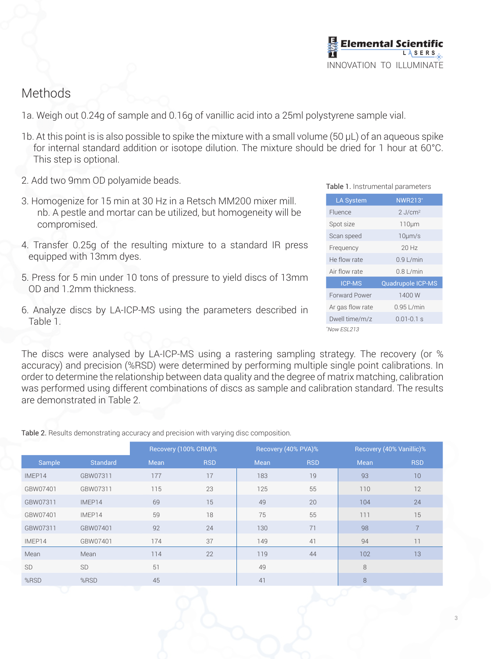#### Methods

- 1a. Weigh out 0.24g of sample and 0.16g of vanillic acid into a 25ml polystyrene sample vial.
- 1b. At this point is is also possible to spike the mixture with a small volume (50 µL) of an aqueous spike for internal standard addition or isotope dilution. The mixture should be dried for 1 hour at 60°C. This step is optional.
- 2. Add two 9mm OD polyamide beads.
- 3. Homogenize for 15 min at 30 Hz in a Retsch MM200 mixer mill. nb. A pestle and mortar can be utilized, but homogeneity will be compromised.
- 4. Transfer 0.25g of the resulting mixture to a standard IR press equipped with 13mm dyes.
- 5. Press for 5 min under 10 tons of pressure to yield discs of 13mm OD and 1.2mm thickness.
- 6. Analyze discs by LA-ICP-MS using the parameters described in Table 1.

The discs were analysed by LA-ICP-MS using a rastering sampling strategy. The recovery (or % accuracy) and precision (%RSD) were determined by performing multiple single point calibrations. In order to determine the relationship between data quality and the degree of matrix matching, calibration was performed using different combinations of discs as sample and calibration standard. The results are demonstrated in Table 2.

Table 2. Results demonstrating accuracy and precision with varying disc composition.

|           |                 | Recovery (100% CRM)% |            | Recovery (40% PVA)% |            | Recovery (40% Vanillic)% |                 |
|-----------|-----------------|----------------------|------------|---------------------|------------|--------------------------|-----------------|
| Sample    | <b>Standard</b> | Mean                 | <b>RSD</b> | Mean                | <b>RSD</b> | Mean                     | <b>RSD</b>      |
| IMEP14    | GBW07311        | 177                  | 17         | 183                 | 19         | 93                       | 10 <sup>°</sup> |
| GBW07401  | GBW07311        | 115                  | 23         | 125                 | 55         | 110                      | 12              |
| GBW07311  | IMEP14          | 69                   | 15         | 49                  | 20         | 104                      | 24              |
| GBW07401  | IMEP14          | 59                   | 18         | 75                  | 55         | 111                      | 15              |
| GBW07311  | GBW07401        | 92                   | 24         | 130                 | 71         | 98                       | $\overline{7}$  |
| IMEP14    | GBW07401        | 174                  | 37         | 149                 | 41         | 94                       | 11              |
| Mean      | Mean            | 114                  | 22         | 119                 | 44         | 102                      | 13              |
| <b>SD</b> | <b>SD</b>       | 51                   |            | 49                  |            | 8                        |                 |
| %RSD      | %RSD            | 45                   |            | 41                  |            | 8                        |                 |

| Table 1. Instrumental parameters |  |
|----------------------------------|--|
|                                  |  |

| <b>LA System</b> | <b>NWR213*</b>           |  |  |  |
|------------------|--------------------------|--|--|--|
| Fluence          | $2$ J/cm <sup>2</sup>    |  |  |  |
| Spot size        | $110 \mu m$              |  |  |  |
| Scan speed       | $10 \mu m/s$             |  |  |  |
| Frequency        | $20$ Hz                  |  |  |  |
| He flow rate     | $0.9$ L/min              |  |  |  |
| Air flow rate    | $0.8$ L/min              |  |  |  |
| <b>ICP-MS</b>    | <b>Quadrupole ICP-MS</b> |  |  |  |
| Forward Power    | 1400 W                   |  |  |  |
| Ar gas flow rate | $0.95$ L/min             |  |  |  |
| Dwell time/m/z   | $0.01 - 0.1 s$           |  |  |  |
| *Now FSI 213     |                          |  |  |  |